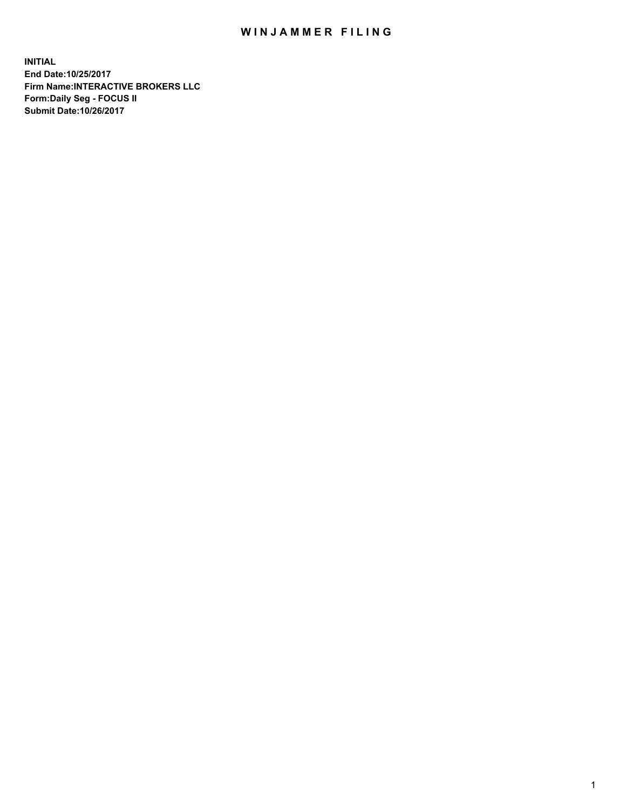## WIN JAMMER FILING

**INITIAL End Date:10/25/2017 Firm Name:INTERACTIVE BROKERS LLC Form:Daily Seg - FOCUS II Submit Date:10/26/2017**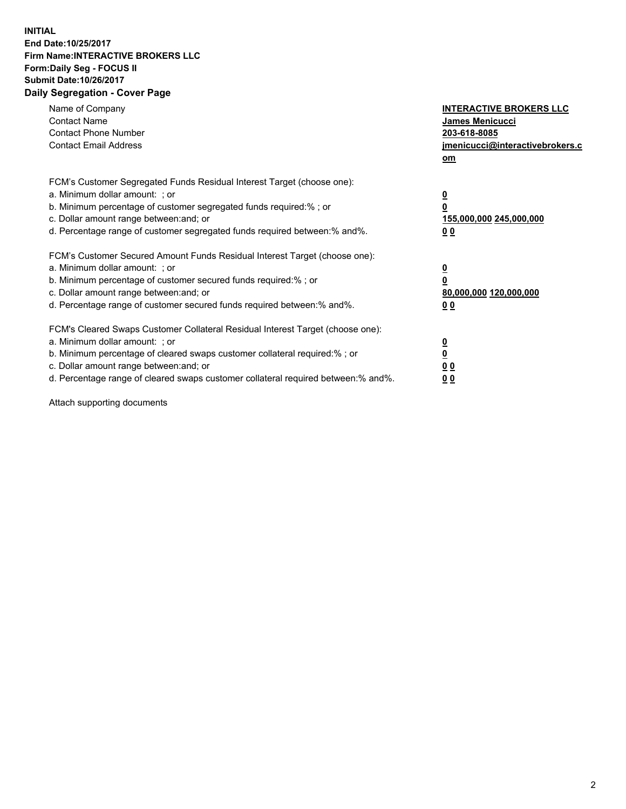## **INITIAL End Date:10/25/2017 Firm Name:INTERACTIVE BROKERS LLC Form:Daily Seg - FOCUS II Submit Date:10/26/2017 Daily Segregation - Cover Page**

| Name of Company<br><b>Contact Name</b><br><b>Contact Phone Number</b><br><b>Contact Email Address</b>                                                                                                                                                                                                                          | <b>INTERACTIVE BROKERS LLC</b><br><b>James Menicucci</b><br>203-618-8085<br>jmenicucci@interactivebrokers.c<br>om |
|--------------------------------------------------------------------------------------------------------------------------------------------------------------------------------------------------------------------------------------------------------------------------------------------------------------------------------|-------------------------------------------------------------------------------------------------------------------|
| FCM's Customer Segregated Funds Residual Interest Target (choose one):<br>a. Minimum dollar amount: ; or<br>b. Minimum percentage of customer segregated funds required:% ; or<br>c. Dollar amount range between: and; or<br>d. Percentage range of customer segregated funds required between:% and%.                         | $\overline{\mathbf{0}}$<br>0<br><u>155,000,000 245,000,000</u><br><u>00</u>                                       |
| FCM's Customer Secured Amount Funds Residual Interest Target (choose one):<br>a. Minimum dollar amount: ; or<br>b. Minimum percentage of customer secured funds required:%; or<br>c. Dollar amount range between: and; or<br>d. Percentage range of customer secured funds required between:% and%.                            | $\overline{\mathbf{0}}$<br>$\pmb{0}$<br>80,000,000 120,000,000<br>0 <sub>0</sub>                                  |
| FCM's Cleared Swaps Customer Collateral Residual Interest Target (choose one):<br>a. Minimum dollar amount: ; or<br>b. Minimum percentage of cleared swaps customer collateral required:% ; or<br>c. Dollar amount range between: and; or<br>d. Percentage range of cleared swaps customer collateral required between:% and%. | $\underline{\mathbf{0}}$<br>$\underline{\mathbf{0}}$<br>0 <sub>0</sub><br>00                                      |

Attach supporting documents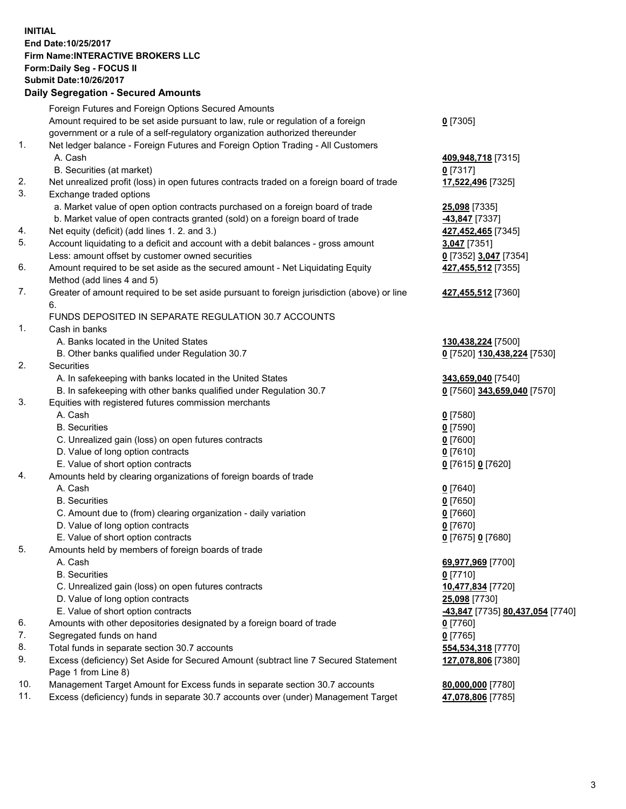## **INITIAL End Date:10/25/2017 Firm Name:INTERACTIVE BROKERS LLC Form:Daily Seg - FOCUS II Submit Date:10/26/2017**

|     | <b>Daily Segregation - Secured Amounts</b>                                                  |                                  |
|-----|---------------------------------------------------------------------------------------------|----------------------------------|
|     | Foreign Futures and Foreign Options Secured Amounts                                         |                                  |
|     | Amount required to be set aside pursuant to law, rule or regulation of a foreign            | $0$ [7305]                       |
|     | government or a rule of a self-regulatory organization authorized thereunder                |                                  |
| 1.  | Net ledger balance - Foreign Futures and Foreign Option Trading - All Customers             |                                  |
|     | A. Cash                                                                                     | 409,948,718 [7315]               |
|     | B. Securities (at market)                                                                   | 0[7317]                          |
| 2.  | Net unrealized profit (loss) in open futures contracts traded on a foreign board of trade   | 17,522,496 [7325]                |
| 3.  | Exchange traded options                                                                     |                                  |
|     | a. Market value of open option contracts purchased on a foreign board of trade              | 25,098 [7335]                    |
|     | b. Market value of open contracts granted (sold) on a foreign board of trade                | -43,847 [7337]                   |
| 4.  | Net equity (deficit) (add lines 1.2. and 3.)                                                | 427,452,465 [7345]               |
| 5.  | Account liquidating to a deficit and account with a debit balances - gross amount           | 3,047 [7351]                     |
|     | Less: amount offset by customer owned securities                                            | 0 [7352] 3,047 [7354]            |
| 6.  | Amount required to be set aside as the secured amount - Net Liquidating Equity              | 427,455,512 [7355]               |
|     | Method (add lines 4 and 5)                                                                  |                                  |
| 7.  | Greater of amount required to be set aside pursuant to foreign jurisdiction (above) or line | 427,455,512 [7360]               |
|     | 6.                                                                                          |                                  |
|     | FUNDS DEPOSITED IN SEPARATE REGULATION 30.7 ACCOUNTS                                        |                                  |
| 1.  | Cash in banks                                                                               |                                  |
|     | A. Banks located in the United States                                                       | 130,438,224 [7500]               |
|     | B. Other banks qualified under Regulation 30.7                                              | 0 [7520] 130,438,224 [7530]      |
| 2.  | Securities                                                                                  |                                  |
|     | A. In safekeeping with banks located in the United States                                   | 343,659,040 [7540]               |
|     | B. In safekeeping with other banks qualified under Regulation 30.7                          | 0 [7560] 343,659,040 [7570]      |
| 3.  | Equities with registered futures commission merchants                                       |                                  |
|     | A. Cash                                                                                     | $0$ [7580]                       |
|     | <b>B.</b> Securities                                                                        | $0$ [7590]                       |
|     | C. Unrealized gain (loss) on open futures contracts                                         | $0$ [7600]                       |
|     | D. Value of long option contracts                                                           | $0$ [7610]                       |
|     | E. Value of short option contracts                                                          | 0 [7615] 0 [7620]                |
| 4.  | Amounts held by clearing organizations of foreign boards of trade                           |                                  |
|     | A. Cash                                                                                     | $0$ [7640]                       |
|     | <b>B.</b> Securities                                                                        | $0$ [7650]                       |
|     | C. Amount due to (from) clearing organization - daily variation                             | $0$ [7660]                       |
|     | D. Value of long option contracts                                                           | $0$ [7670]                       |
|     | E. Value of short option contracts                                                          | 0 [7675] 0 [7680]                |
| 5.  | Amounts held by members of foreign boards of trade                                          |                                  |
|     | A. Cash                                                                                     | 69,977,969 [7700]                |
|     | <b>B.</b> Securities                                                                        | $0$ [7710]                       |
|     | C. Unrealized gain (loss) on open futures contracts                                         | 10,477,834 [7720]                |
|     | D. Value of long option contracts                                                           | 25,098 [7730]                    |
|     | E. Value of short option contracts                                                          | -43,847 [7735] 80,437,054 [7740] |
| 6.  | Amounts with other depositories designated by a foreign board of trade                      | $0$ [7760]                       |
| 7.  | Segregated funds on hand                                                                    | $0$ [7765]                       |
| 8.  | Total funds in separate section 30.7 accounts                                               | 554,534,318 [7770]               |
| 9.  | Excess (deficiency) Set Aside for Secured Amount (subtract line 7 Secured Statement         | 127,078,806 [7380]               |
|     | Page 1 from Line 8)                                                                         |                                  |
| 10. | Management Target Amount for Excess funds in separate section 30.7 accounts                 | 80,000,000 [7780]                |
| 11. | Excess (deficiency) funds in separate 30.7 accounts over (under) Management Target          | 47,078,806 [7785]                |
|     |                                                                                             |                                  |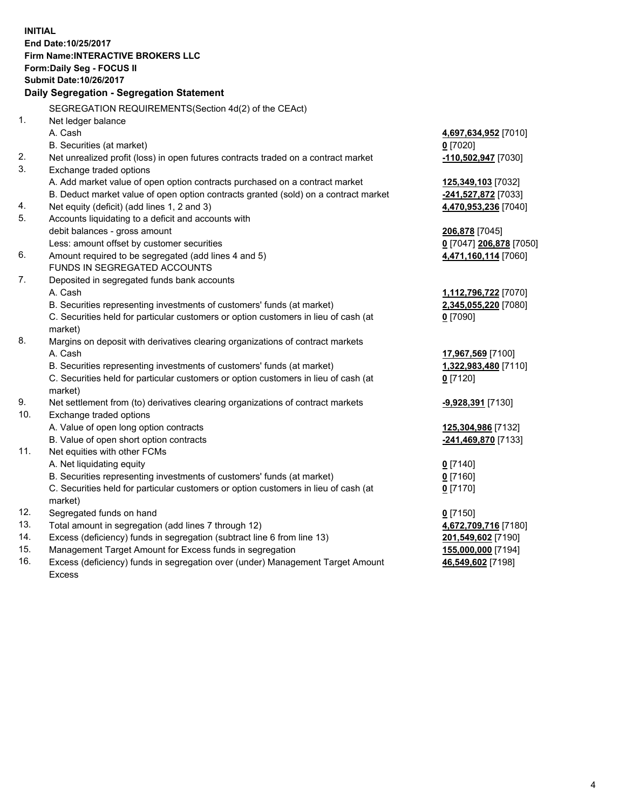**INITIAL End Date:10/25/2017 Firm Name:INTERACTIVE BROKERS LLC Form:Daily Seg - FOCUS II Submit Date:10/26/2017 Daily Segregation - Segregation Statement** SEGREGATION REQUIREMENTS(Section 4d(2) of the CEAct) 1. Net ledger balance A. Cash **4,697,634,952** [7010] B. Securities (at market) **0** [7020] 2. Net unrealized profit (loss) in open futures contracts traded on a contract market **-110,502,947** [7030] 3. Exchange traded options A. Add market value of open option contracts purchased on a contract market **125,349,103** [7032] B. Deduct market value of open option contracts granted (sold) on a contract market **-241,527,872** [7033] 4. Net equity (deficit) (add lines 1, 2 and 3) **4,470,953,236** [7040] 5. Accounts liquidating to a deficit and accounts with debit balances - gross amount **206,878** [7045] Less: amount offset by customer securities **0** [7047] **206,878** [7050] 6. Amount required to be segregated (add lines 4 and 5) **4,471,160,114** [7060] FUNDS IN SEGREGATED ACCOUNTS 7. Deposited in segregated funds bank accounts A. Cash **1,112,796,722** [7070] B. Securities representing investments of customers' funds (at market) **2,345,055,220** [7080] C. Securities held for particular customers or option customers in lieu of cash (at market) **0** [7090] 8. Margins on deposit with derivatives clearing organizations of contract markets A. Cash **17,967,569** [7100] B. Securities representing investments of customers' funds (at market) **1,322,983,480** [7110] C. Securities held for particular customers or option customers in lieu of cash (at market) **0** [7120] 9. Net settlement from (to) derivatives clearing organizations of contract markets **-9,928,391** [7130] 10. Exchange traded options A. Value of open long option contracts **125,304,986** [7132] B. Value of open short option contracts **-241,469,870** [7133] 11. Net equities with other FCMs A. Net liquidating equity **0** [7140] B. Securities representing investments of customers' funds (at market) **0** [7160] C. Securities held for particular customers or option customers in lieu of cash (at market) **0** [7170] 12. Segregated funds on hand **0** [7150] 13. Total amount in segregation (add lines 7 through 12) **4,672,709,716** [7180] 14. Excess (deficiency) funds in segregation (subtract line 6 from line 13) **201,549,602** [7190] 15. Management Target Amount for Excess funds in segregation **155,000,000** [7194] **46,549,602** [7198]

16. Excess (deficiency) funds in segregation over (under) Management Target Amount Excess